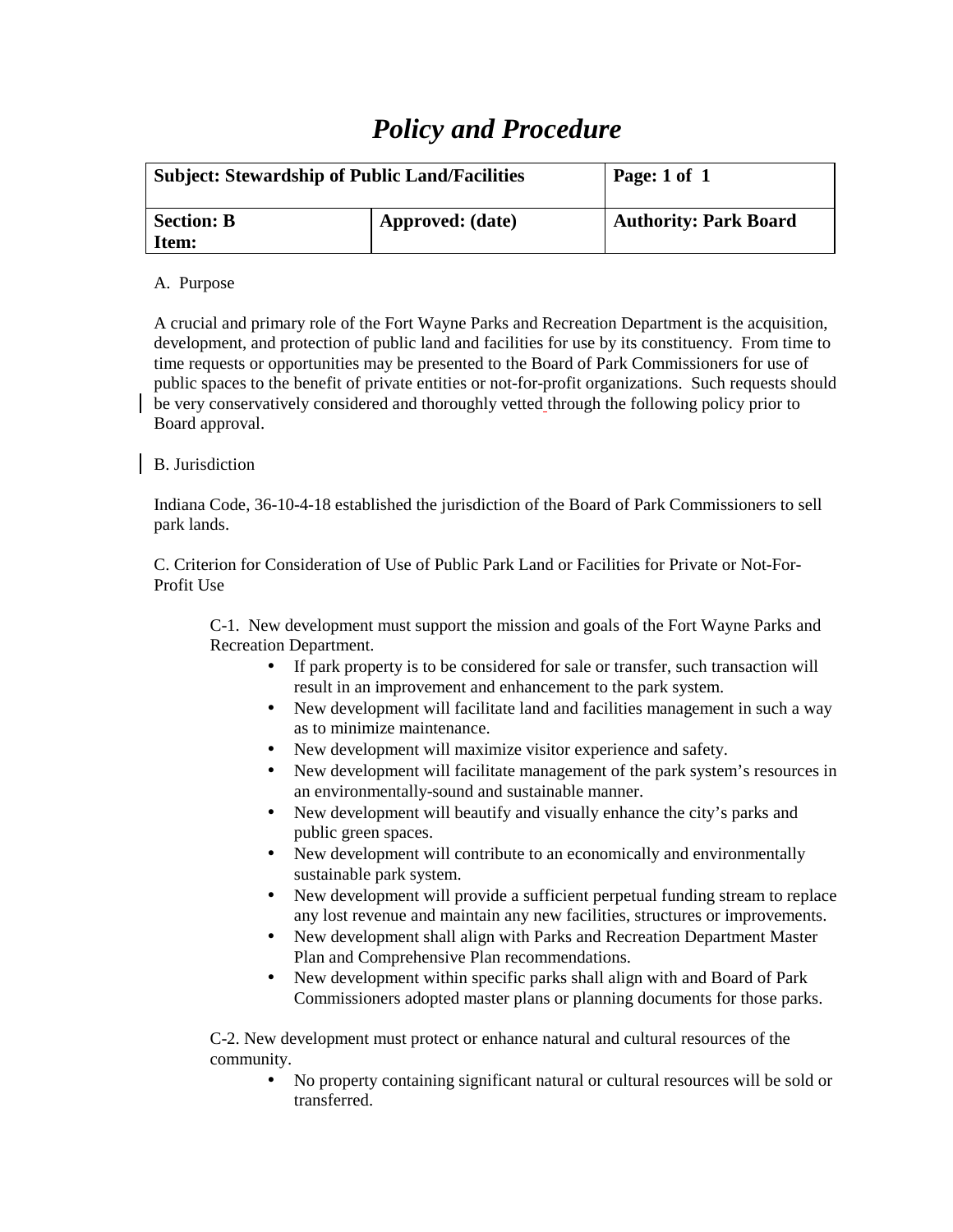## *Policy and Procedure*

| <b>Subject: Stewardship of Public Land/Facilities</b> |                  | Page: 1 of 1                 |
|-------------------------------------------------------|------------------|------------------------------|
| <b>Section: B</b><br>Item:                            | Approved: (date) | <b>Authority: Park Board</b> |

## A. Purpose

A crucial and primary role of the Fort Wayne Parks and Recreation Department is the acquisition, development, and protection of public land and facilities for use by its constituency. From time to time requests or opportunities may be presented to the Board of Park Commissioners for use of public spaces to the benefit of private entities or not-for-profit organizations. Such requests should be very conservatively considered and thoroughly vetted through the following policy prior to Board approval.

## B. Jurisdiction

Indiana Code, 36-10-4-18 established the jurisdiction of the Board of Park Commissioners to sell park lands.

C. Criterion for Consideration of Use of Public Park Land or Facilities for Private or Not-For-Profit Use

C-1. New development must support the mission and goals of the Fort Wayne Parks and Recreation Department.

- If park property is to be considered for sale or transfer, such transaction will result in an improvement and enhancement to the park system.
- New development will facilitate land and facilities management in such a way as to minimize maintenance.
- New development will maximize visitor experience and safety.
- New development will facilitate management of the park system's resources in an environmentally-sound and sustainable manner.
- New development will beautify and visually enhance the city's parks and public green spaces.
- New development will contribute to an economically and environmentally sustainable park system.
- New development will provide a sufficient perpetual funding stream to replace any lost revenue and maintain any new facilities, structures or improvements.
- New development shall align with Parks and Recreation Department Master Plan and Comprehensive Plan recommendations.
- New development within specific parks shall align with and Board of Park Commissioners adopted master plans or planning documents for those parks.

 C-2. New development must protect or enhance natural and cultural resources of the community.

• No property containing significant natural or cultural resources will be sold or transferred.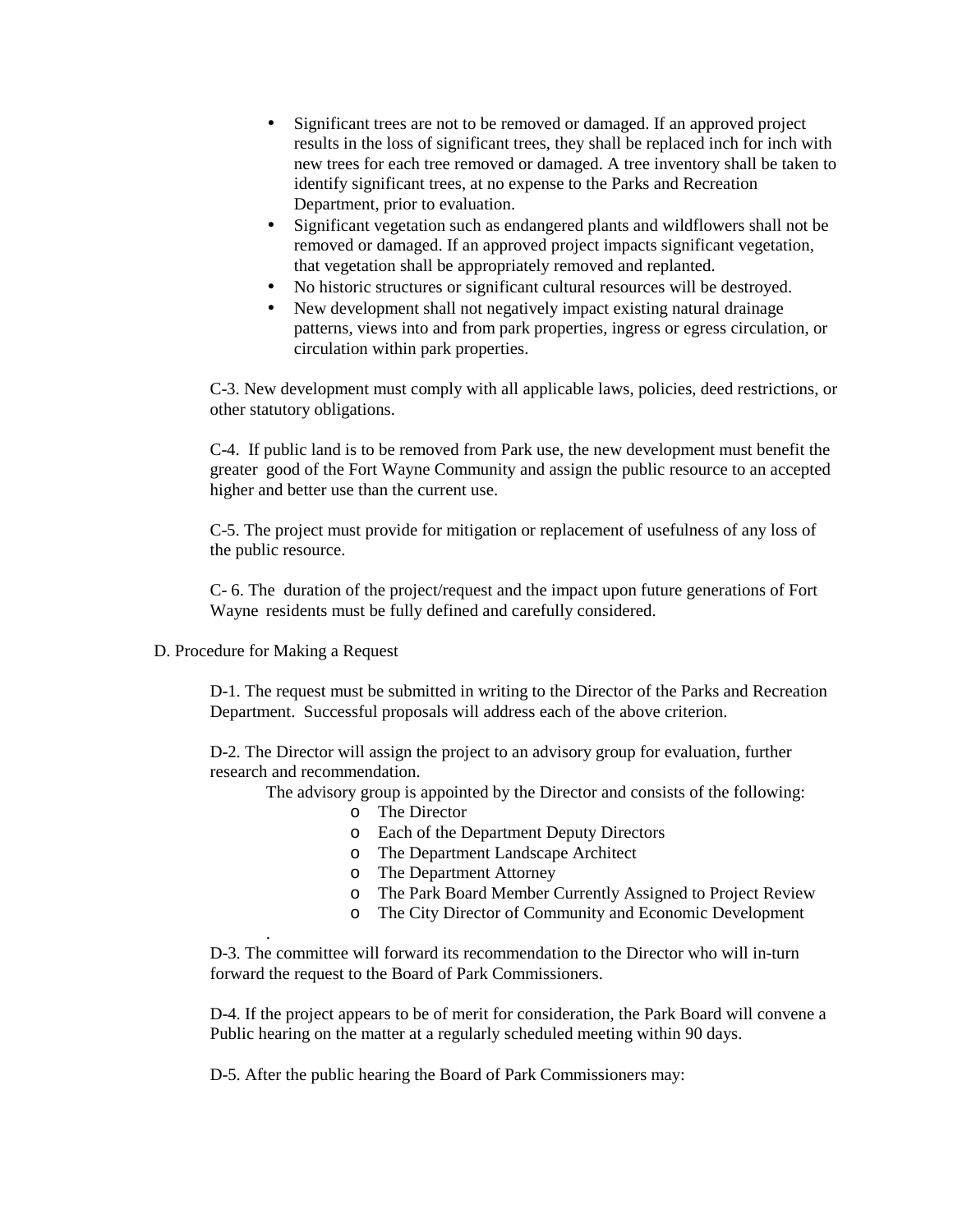- Significant trees are not to be removed or damaged. If an approved project results in the loss of significant trees, they shall be replaced inch for inch with new trees for each tree removed or damaged. A tree inventory shall be taken to identify significant trees, at no expense to the Parks and Recreation Department, prior to evaluation.
- Significant vegetation such as endangered plants and wildflowers shall not be removed or damaged. If an approved project impacts significant vegetation, that vegetation shall be appropriately removed and replanted.
- No historic structures or significant cultural resources will be destroyed.
- New development shall not negatively impact existing natural drainage patterns, views into and from park properties, ingress or egress circulation, or circulation within park properties.

 C-3. New development must comply with all applicable laws, policies, deed restrictions, or other statutory obligations.

 C-4. If public land is to be removed from Park use, the new development must benefit the greater good of the Fort Wayne Community and assign the public resource to an accepted higher and better use than the current use.

C-5. The project must provide for mitigation or replacement of usefulness of any loss of the public resource.

 C- 6. The duration of the project/request and the impact upon future generations of Fort Wayne residents must be fully defined and carefully considered.

D. Procedure for Making a Request

.

D-1. The request must be submitted in writing to the Director of the Parks and Recreation Department. Successful proposals will address each of the above criterion.

D-2. The Director will assign the project to an advisory group for evaluation, further research and recommendation.

The advisory group is appointed by the Director and consists of the following:

- o The Director
- o Each of the Department Deputy Directors
- o The Department Landscape Architect
- o The Department Attorney
- o The Park Board Member Currently Assigned to Project Review
- o The City Director of Community and Economic Development

D-3. The committee will forward its recommendation to the Director who will in-turn forward the request to the Board of Park Commissioners.

D-4. If the project appears to be of merit for consideration, the Park Board will convene a Public hearing on the matter at a regularly scheduled meeting within 90 days.

D-5. After the public hearing the Board of Park Commissioners may: